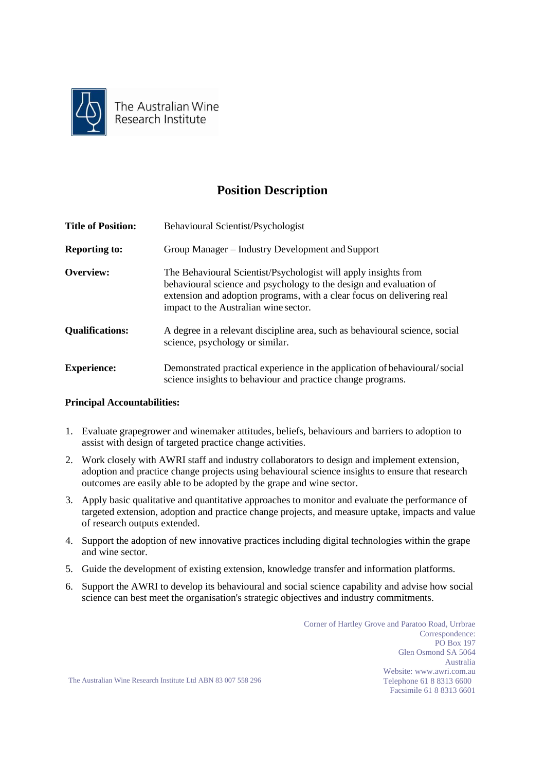

The Australian Wine Research Institute

## **Position Description**

| <b>Title of Position:</b> | Behavioural Scientist/Psychologist                                                                                                                                                                                                                       |
|---------------------------|----------------------------------------------------------------------------------------------------------------------------------------------------------------------------------------------------------------------------------------------------------|
| <b>Reporting to:</b>      | Group Manager – Industry Development and Support                                                                                                                                                                                                         |
| Overview:                 | The Behavioural Scientist/Psychologist will apply insights from<br>behavioural science and psychology to the design and evaluation of<br>extension and adoption programs, with a clear focus on delivering real<br>impact to the Australian wine sector. |
| <b>Qualifications:</b>    | A degree in a relevant discipline area, such as behavioural science, social<br>science, psychology or similar.                                                                                                                                           |
| <b>Experience:</b>        | Demonstrated practical experience in the application of behavioural/social<br>science insights to behaviour and practice change programs.                                                                                                                |

## **Principal Accountabilities:**

- 1. Evaluate grapegrower and winemaker attitudes, beliefs, behaviours and barriers to adoption to assist with design of targeted practice change activities.
- 2. Work closely with AWRI staff and industry collaborators to design and implement extension, adoption and practice change projects using behavioural science insights to ensure that research outcomes are easily able to be adopted by the grape and wine sector.
- 3. Apply basic qualitative and quantitative approaches to monitor and evaluate the performance of targeted extension, adoption and practice change projects, and measure uptake, impacts and value of research outputs extended.
- 4. Support the adoption of new innovative practices including digital technologies within the grape and wine sector.
- 5. Guide the development of existing extension, knowledge transfer and information platforms.
- 6. Support the AWRI to develop its behavioural and social science capability and advise how social science can best meet the organisation's strategic objectives and industry commitments.